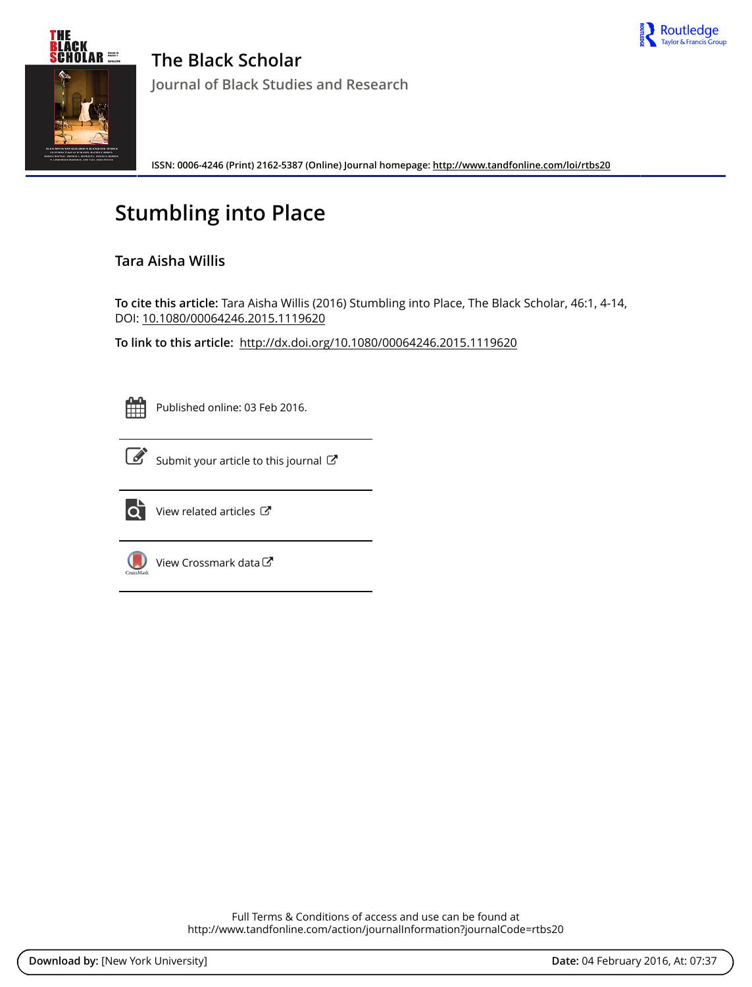



**The Black Scholar Journal of Black Studies and Research**

**ISSN: 0006-4246 (Print) 2162-5387 (Online) Journal homepage:<http://www.tandfonline.com/loi/rtbs20>**

# **Stumbling into Place**

# **Tara Aisha Willis**

**To cite this article:** Tara Aisha Willis (2016) Stumbling into Place, The Black Scholar, 46:1, 4-14, DOI: [10.1080/00064246.2015.1119620](http://www.tandfonline.com/action/showCitFormats?doi=10.1080/00064246.2015.1119620)

**To link to this article:** <http://dx.doi.org/10.1080/00064246.2015.1119620>



Published online: 03 Feb 2016.



 $\overline{\mathscr{L}}$  [Submit your article to this journal](http://www.tandfonline.com/action/authorSubmission?journalCode=rtbs20&page=instructions)  $\mathbb{Z}$ 



 $\overrightarrow{Q}$  [View related articles](http://www.tandfonline.com/doi/mlt/10.1080/00064246.2015.1119620)  $\overrightarrow{C}$ 



[View Crossmark data](http://crossmark.crossref.org/dialog/?doi=10.1080/00064246.2015.1119620&domain=pdf&date_stamp=2016-02-03)

Full Terms & Conditions of access and use can be found at <http://www.tandfonline.com/action/journalInformation?journalCode=rtbs20>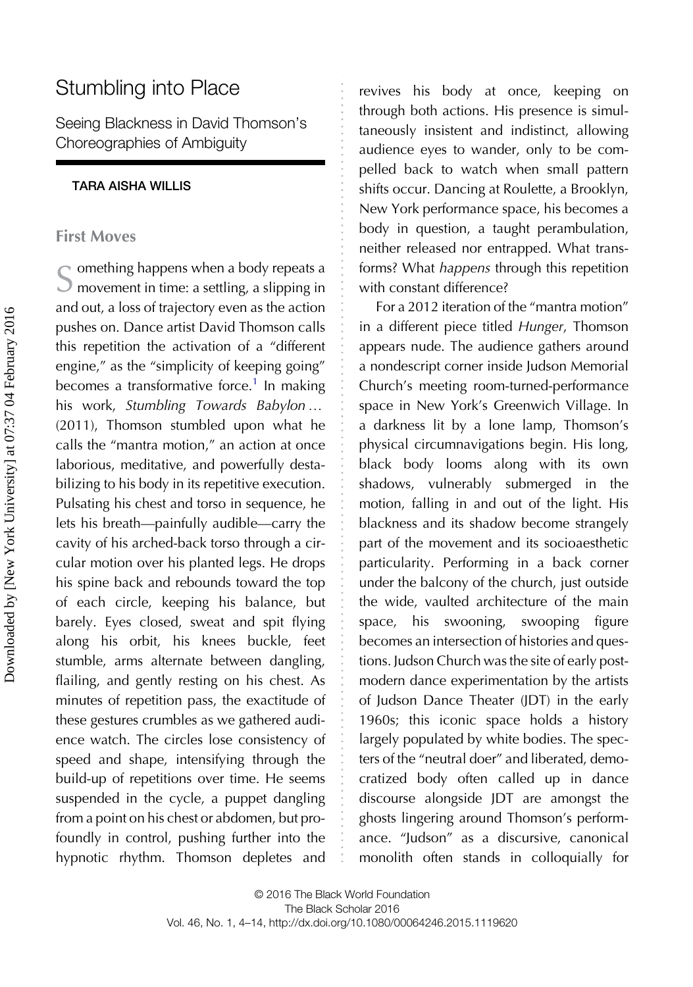# Stumbling into Place

Seeing Blackness in David Thomson's Choreographies of Ambiguity

#### TARA AISHA WILLIS

#### First Moves

 $\bigcap$  omething happens when a body repeats a  $\cup$  movement in time: a settling, a slipping in and out, a loss of trajectory even as the action pushes on. Dance artist David Thomson calls this repetition the activation of a "different engine," as the "simplicity of keeping going" becomes a transformative force.<sup>[1](#page-9-0)</sup> In making his work, Stumbling Towards Babylon … (2011), Thomson stumbled upon what he calls the "mantra motion," an action at once laborious, meditative, and powerfully destabilizing to his body in its repetitive execution. Pulsating his chest and torso in sequence, he lets his breath—painfully audible—carry the cavity of his arched-back torso through a circular motion over his planted legs. He drops his spine back and rebounds toward the top of each circle, keeping his balance, but barely. Eyes closed, sweat and spit flying along his orbit, his knees buckle, feet stumble, arms alternate between dangling, flailing, and gently resting on his chest. As minutes of repetition pass, the exactitude of these gestures crumbles as we gathered audience watch. The circles lose consistency of speed and shape, intensifying through the build-up of repetitions over time. He seems suspended in the cycle, a puppet dangling from a point on his chest or abdomen, but profoundly in control, pushing further into the hypnotic rhythm. Thomson depletes and

taneously insistent and indistinct, allowing audience eyes to wander, only to be compelled back to watch when small pattern shifts occur. Dancing at Roulette, a Brooklyn, New York performance space, his becomes a body in question, a taught perambulation, neither released nor entrapped. What transforms? What happens through this repetition with constant difference? For a 2012 iteration of the "mantra motion" in a different piece titled Hunger, Thomson appears nude. The audience gathers around a nondescript corner inside Judson Memorial Church's meeting room-turned-performance space in New York's Greenwich Village. In

revives his body at once, keeping on through both actions. His presence is simul-

a darkness lit by a lone lamp, Thomson's physical circumnavigations begin. His long, black body looms along with its own shadows, vulnerably submerged in the motion, falling in and out of the light. His blackness and its shadow become strangely part of the movement and its socioaesthetic particularity. Performing in a back corner under the balcony of the church, just outside the wide, vaulted architecture of the main space, his swooning, swooping figure becomes an intersection of histories and questions. Judson Church was the site of early postmodern dance experimentation by the artists of Judson Dance Theater (JDT) in the early 1960s; this iconic space holds a history largely populated by white bodies. The specters of the "neutral doer" and liberated, democratized body often called up in dance discourse alongside JDT are amongst the ghosts lingering around Thomson's performance. "Judson" as a discursive, canonical monolith often stands in colloquially for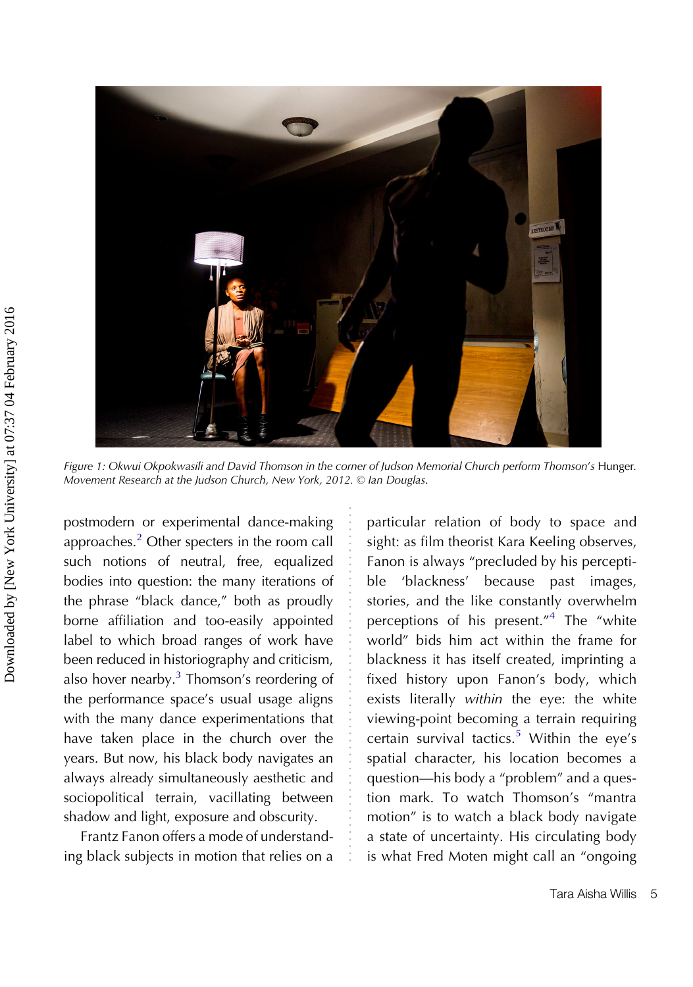

Figure 1: Okwui Okpokwasili and David Thomson in the corner of Judson Memorial Church perform Thomson's Hunger. Movement Research at the Judson Church, New York, 2012. © Ian Douglas.

postmodern or experimental dance-making approaches.[2](#page-9-0) Other specters in the room call such notions of neutral, free, equalized bodies into question: the many iterations of the phrase "black dance," both as proudly borne affiliation and too-easily appointed label to which broad ranges of work have been reduced in historiography and criticism, also hover nearby.<sup>[3](#page-9-0)</sup> Thomson's reordering of the performance space's usual usage aligns with the many dance experimentations that have taken place in the church over the years. But now, his black body navigates an always already simultaneously aesthetic and sociopolitical terrain, vacillating between shadow and light, exposure and obscurity.

Frantz Fanon offers a mode of understanding black subjects in motion that relies on a

particular relation of body to space and sight: as film theorist Kara Keeling observes, Fanon is always "precluded by his perceptible 'blackness' because past images, stories, and the like constantly overwhelm perceptions of his present."[4](#page-9-0) The "white world" bids him act within the frame for blackness it has itself created, imprinting a fixed history upon Fanon's body, which exists literally within the eye: the white viewing-point becoming a terrain requiring certain survival tactics.<sup>[5](#page-9-0)</sup> Within the eye's spatial character, his location becomes a question—his body a "problem" and a question mark. To watch Thomson's "mantra motion" is to watch a black body navigate a state of uncertainty. His circulating body is what Fred Moten might call an "ongoing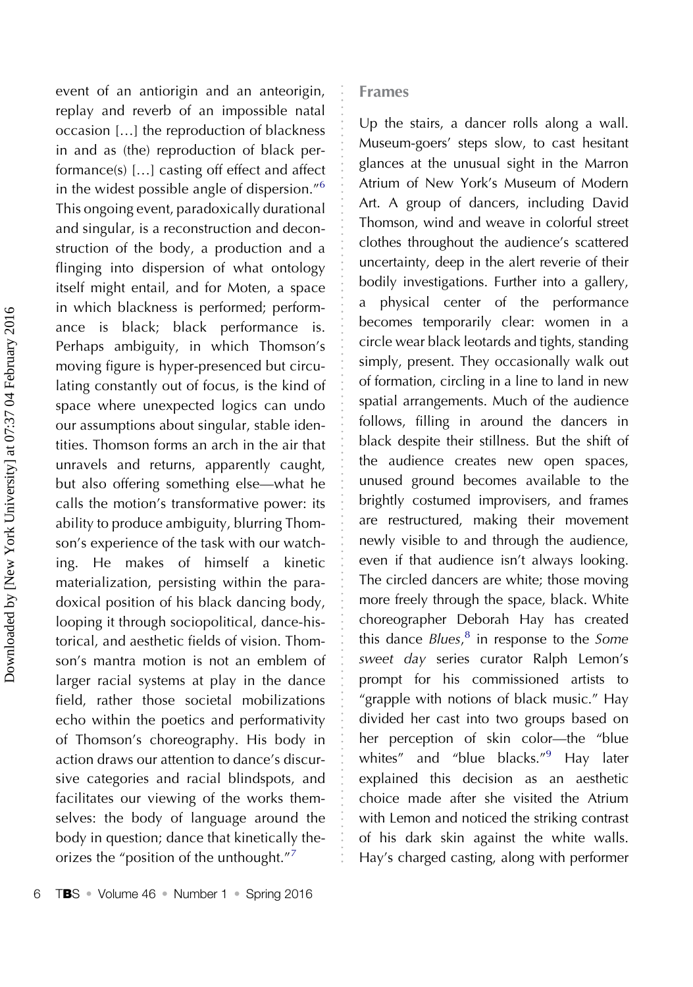event of an antiorigin and an anteorigin, replay and reverb of an impossible natal occasion […] the reproduction of blackness in and as (the) reproduction of black performance(s) […] casting off effect and affect in the widest possible angle of dispersion."[6](#page-9-0) This ongoing event, paradoxically durational and singular, is a reconstruction and deconstruction of the body, a production and a flinging into dispersion of what ontology itself might entail, and for Moten, a space in which blackness is performed; performance is black; black performance is. Perhaps ambiguity, in which Thomson's moving figure is hyper-presenced but circulating constantly out of focus, is the kind of space where unexpected logics can undo our assumptions about singular, stable identities. Thomson forms an arch in the air that unravels and returns, apparently caught, but also offering something else—what he calls the motion's transformative power: its ability to produce ambiguity, blurring Thomson's experience of the task with our watching. He makes of himself a kinetic materialization, persisting within the paradoxical position of his black dancing body, looping it through sociopolitical, dance-historical, and aesthetic fields of vision. Thomson's mantra motion is not an emblem of larger racial systems at play in the dance field, rather those societal mobilizations echo within the poetics and performativity of Thomson's choreography. His body in action draws our attention to dance's discursive categories and racial blindspots, and facilitates our viewing of the works themselves: the body of language around the body in question; dance that kinetically the-orizes the "position of the unthought."<sup>[7](#page-9-0)</sup>

#### Frames

Up the stairs, a dancer rolls along a wall. Museum-goers' steps slow, to cast hesitant glances at the unusual sight in the Marron Atrium of New York's Museum of Modern Art. A group of dancers, including David Thomson, wind and weave in colorful street clothes throughout the audience's scattered uncertainty, deep in the alert reverie of their bodily investigations. Further into a gallery, a physical center of the performance becomes temporarily clear: women in a circle wear black leotards and tights, standing simply, present. They occasionally walk out of formation, circling in a line to land in new spatial arrangements. Much of the audience follows, filling in around the dancers in black despite their stillness. But the shift of the audience creates new open spaces, unused ground becomes available to the brightly costumed improvisers, and frames are restructured, making their movement newly visible to and through the audience, even if that audience isn't always looking. The circled dancers are white; those moving more freely through the space, black. White choreographer Deborah Hay has created this dance *Blues*,<sup>[8](#page-9-0)</sup> in response to the Some sweet day series curator Ralph Lemon's prompt for his commissioned artists to "grapple with notions of black music." Hay divided her cast into two groups based on her perception of skin color—the "blue whites" and "blue blacks."<sup>[9](#page-9-0)</sup> Hay later explained this decision as an aesthetic choice made after she visited the Atrium with Lemon and noticed the striking contrast of his dark skin against the white walls. Hay's charged casting, along with performer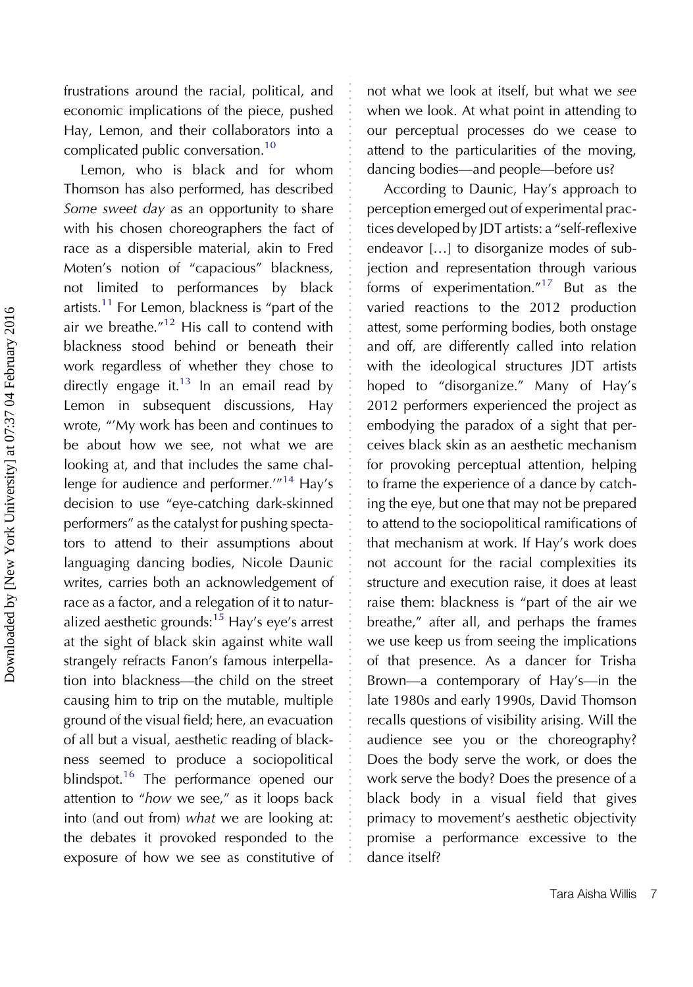frustrations around the racial, political, and economic implications of the piece, pushed Hay, Lemon, and their collaborators into a complicated public conversation.<sup>[10](#page-9-0)</sup>

Lemon, who is black and for whom Thomson has also performed, has described Some sweet day as an opportunity to share with his chosen choreographers the fact of race as a dispersible material, akin to Fred Moten's notion of "capacious" blackness, not limited to performances by black artists.[11](#page-9-0) For Lemon, blackness is "part of the air we breathe."<sup>[12](#page-10-0)</sup> His call to contend with blackness stood behind or beneath their work regardless of whether they chose to directly engage it.<sup>[13](#page-10-0)</sup> In an email read by Lemon in subsequent discussions, Hay wrote, "'My work has been and continues to be about how we see, not what we are looking at, and that includes the same chal-lenge for audience and performer.<sup>'"[14](#page-10-0)</sup> Hay's decision to use "eye-catching dark-skinned performers" as the catalyst for pushing spectators to attend to their assumptions about languaging dancing bodies, Nicole Daunic writes, carries both an acknowledgement of race as a factor, and a relegation of it to natur-alized aesthetic grounds:<sup>[15](#page-10-0)</sup> Hay's eye's arrest at the sight of black skin against white wall strangely refracts Fanon's famous interpellation into blackness—the child on the street causing him to trip on the mutable, multiple ground of the visual field; here, an evacuation of all but a visual, aesthetic reading of blackness seemed to produce a sociopolitical blindspot.<sup>[16](#page-10-0)</sup> The performance opened our attention to "how we see," as it loops back into (and out from) what we are looking at: the debates it provoked responded to the exposure of how we see as constitutive of not what we look at itself, but what we see when we look. At what point in attending to our perceptual processes do we cease to attend to the particularities of the moving, dancing bodies—and people—before us?

According to Daunic, Hay's approach to perception emerged out of experimental practices developed by JDT artists: a "self-reflexive endeavor […] to disorganize modes of subjection and representation through various forms of experimentation."<sup>[17](#page-10-0)</sup> But as the varied reactions to the 2012 production attest, some performing bodies, both onstage and off, are differently called into relation with the ideological structures JDT artists hoped to "disorganize." Many of Hay's 2012 performers experienced the project as embodying the paradox of a sight that perceives black skin as an aesthetic mechanism for provoking perceptual attention, helping to frame the experience of a dance by catching the eye, but one that may not be prepared to attend to the sociopolitical ramifications of that mechanism at work. If Hay's work does not account for the racial complexities its structure and execution raise, it does at least raise them: blackness is "part of the air we breathe," after all, and perhaps the frames we use keep us from seeing the implications of that presence. As a dancer for Trisha Brown—a contemporary of Hay's—in the late 1980s and early 1990s, David Thomson recalls questions of visibility arising. Will the audience see you or the choreography? Does the body serve the work, or does the work serve the body? Does the presence of a black body in a visual field that gives primacy to movement's aesthetic objectivity promise a performance excessive to the dance itself?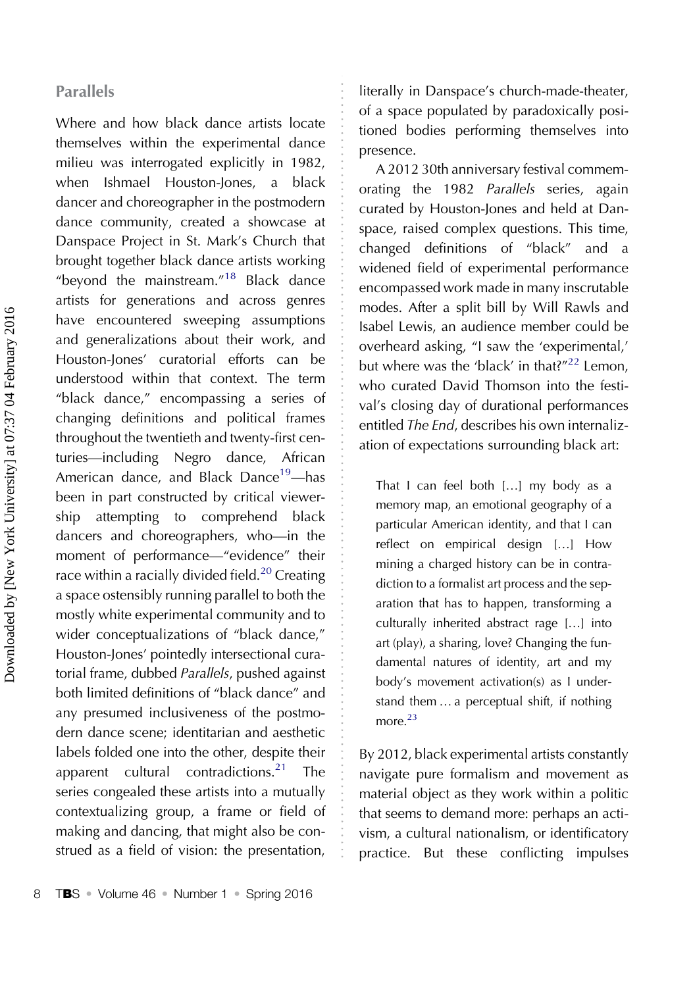### Parallels

Where and how black dance artists locate themselves within the experimental dance milieu was interrogated explicitly in 1982, when Ishmael Houston-Jones, a black dancer and choreographer in the postmodern dance community, created a showcase at Danspace Project in St. Mark's Church that brought together black dance artists working "beyond the mainstream."<sup>[18](#page-10-0)</sup> Black dance artists for generations and across genres have encountered sweeping assumptions and generalizations about their work, and Houston-Jones' curatorial efforts can be understood within that context. The term "black dance," encompassing a series of changing definitions and political frames throughout the twentieth and twenty-first centuries—including Negro dance, African American dance, and Black Dance<sup>[19](#page-10-0)</sup>—has been in part constructed by critical viewership attempting to comprehend black dancers and choreographers, who—in the moment of performance—"evidence" their race within a racially divided field.<sup>[20](#page-10-0)</sup> Creating a space ostensibly running parallel to both the mostly white experimental community and to wider conceptualizations of "black dance," Houston-Jones' pointedly intersectional curatorial frame, dubbed Parallels, pushed against both limited definitions of "black dance" and any presumed inclusiveness of the postmodern dance scene; identitarian and aesthetic labels folded one into the other, despite their apparent cultural contradictions.<sup>[21](#page-10-0)</sup> The series congealed these artists into a mutually contextualizing group, a frame or field of making and dancing, that might also be construed as a field of vision: the presentation,

literally in Danspace's church-made-theater, of a space populated by paradoxically positioned bodies performing themselves into presence.

A 2012 30th anniversary festival commemorating the 1982 Parallels series, again curated by Houston-Jones and held at Danspace, raised complex questions. This time, changed definitions of "black" and a widened field of experimental performance encompassed work made in many inscrutable modes. After a split bill by Will Rawls and Isabel Lewis, an audience member could be overheard asking, "I saw the 'experimental,' but where was the 'black' in that?"<sup>[22](#page-10-0)</sup> Lemon, who curated David Thomson into the festival's closing day of durational performances entitled The End, describes his own internalization of expectations surrounding black art:

That I can feel both […] my body as a memory map, an emotional geography of a particular American identity, and that I can reflect on empirical design […] How mining a charged history can be in contradiction to a formalist art process and the separation that has to happen, transforming a culturally inherited abstract rage […] into art (play), a sharing, love? Changing the fundamental natures of identity, art and my body's movement activation(s) as I understand them … a perceptual shift, if nothing more.<sup>[23](#page-10-0)</sup>

By 2012, black experimental artists constantly navigate pure formalism and movement as material object as they work within a politic that seems to demand more: perhaps an activism, a cultural nationalism, or identificatory practice. But these conflicting impulses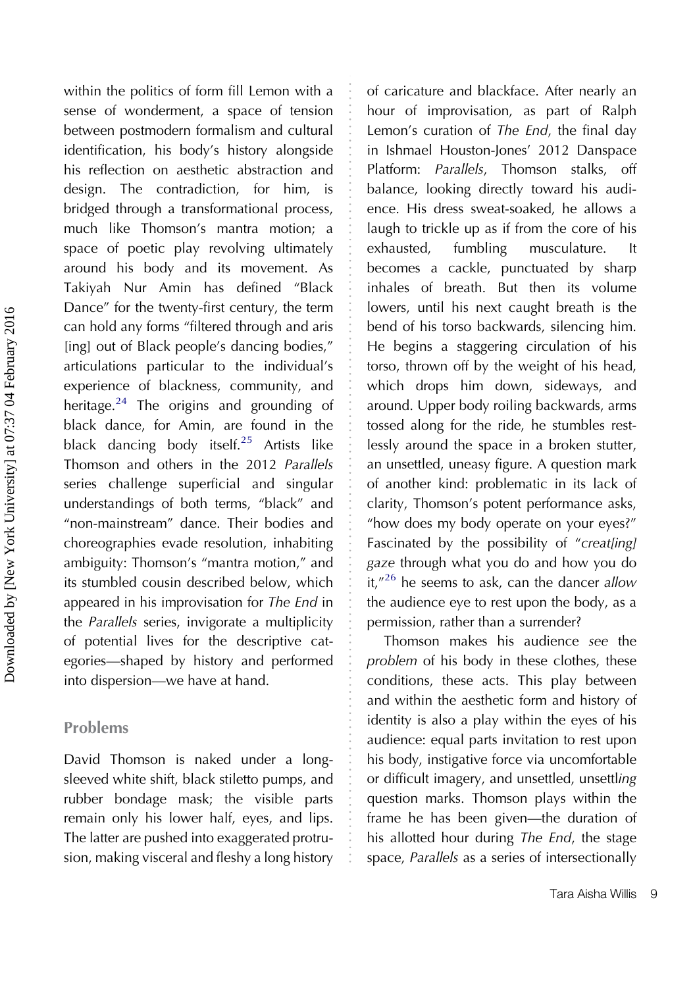within the politics of form fill Lemon with a sense of wonderment, a space of tension between postmodern formalism and cultural identification, his body's history alongside his reflection on aesthetic abstraction and design. The contradiction, for him, is bridged through a transformational process, much like Thomson's mantra motion; a space of poetic play revolving ultimately around his body and its movement. As Takiyah Nur Amin has defined "Black Dance" for the twenty-first century, the term can hold any forms "filtered through and aris [ing] out of Black people's dancing bodies," articulations particular to the individual's experience of blackness, community, and heritage. $24$  The origins and grounding of black dance, for Amin, are found in the black dancing body itself. $25$  Artists like Thomson and others in the 2012 Parallels series challenge superficial and singular understandings of both terms, "black" and "non-mainstream" dance. Their bodies and choreographies evade resolution, inhabiting ambiguity: Thomson's "mantra motion," and its stumbled cousin described below, which appeared in his improvisation for The End in the Parallels series, invigorate a multiplicity of potential lives for the descriptive categories—shaped by history and performed into dispersion—we have at hand.

### Problems

David Thomson is naked under a longsleeved white shift, black stiletto pumps, and rubber bondage mask; the visible parts remain only his lower half, eyes, and lips. The latter are pushed into exaggerated protrusion, making visceral and fleshy a long history

of caricature and blackface. After nearly an hour of improvisation, as part of Ralph Lemon's curation of The End, the final day in Ishmael Houston-Jones' 2012 Danspace Platform: Parallels, Thomson stalks, off balance, looking directly toward his audience. His dress sweat-soaked, he allows a laugh to trickle up as if from the core of his exhausted, fumbling musculature. It becomes a cackle, punctuated by sharp inhales of breath. But then its volume lowers, until his next caught breath is the bend of his torso backwards, silencing him. He begins a staggering circulation of his torso, thrown off by the weight of his head, which drops him down, sideways, and around. Upper body roiling backwards, arms tossed along for the ride, he stumbles restlessly around the space in a broken stutter, an unsettled, uneasy figure. A question mark of another kind: problematic in its lack of clarity, Thomson's potent performance asks, "how does my body operate on your eyes?" Fascinated by the possibility of "creat[ing] gaze through what you do and how you do it,<sup> $n^{26}$  $n^{26}$  $n^{26}$ </sup> he seems to ask, can the dancer allow the audience eye to rest upon the body, as a permission, rather than a surrender?

Thomson makes his audience see the problem of his body in these clothes, these conditions, these acts. This play between and within the aesthetic form and history of identity is also a play within the eyes of his audience: equal parts invitation to rest upon his body, instigative force via uncomfortable or difficult imagery, and unsettled, unsettling question marks. Thomson plays within the frame he has been given—the duration of his allotted hour during The End, the stage space, Parallels as a series of intersectionally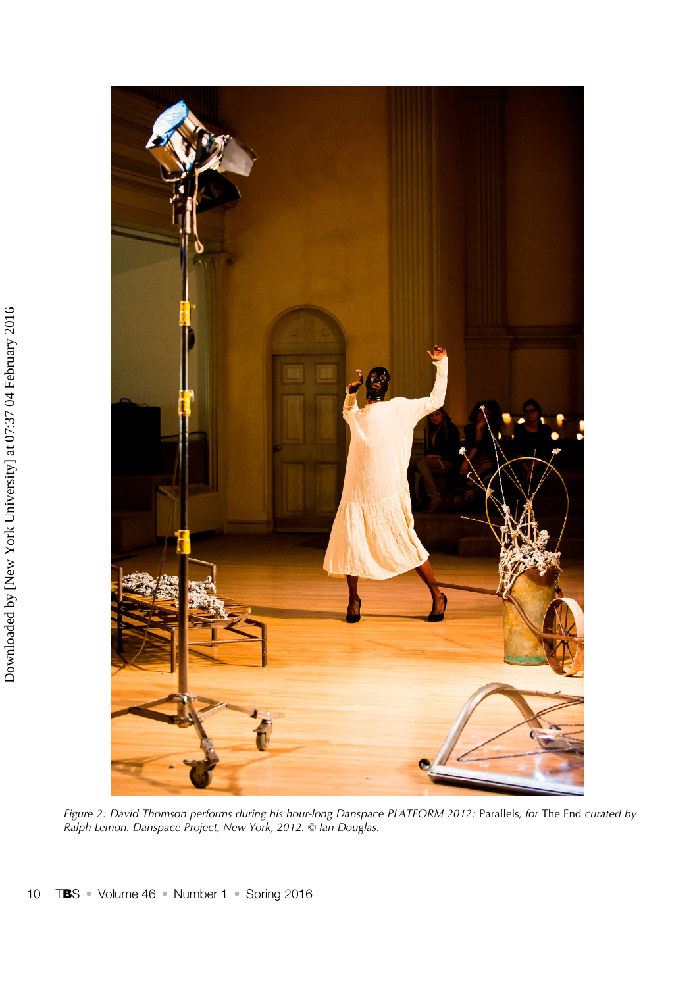

Figure 2: David Thomson performs during his hour-long Danspace PLATFORM 2012: Parallels, for The End curated by Ralph Lemon. Danspace Project, New York, 2012. © Ian Douglas.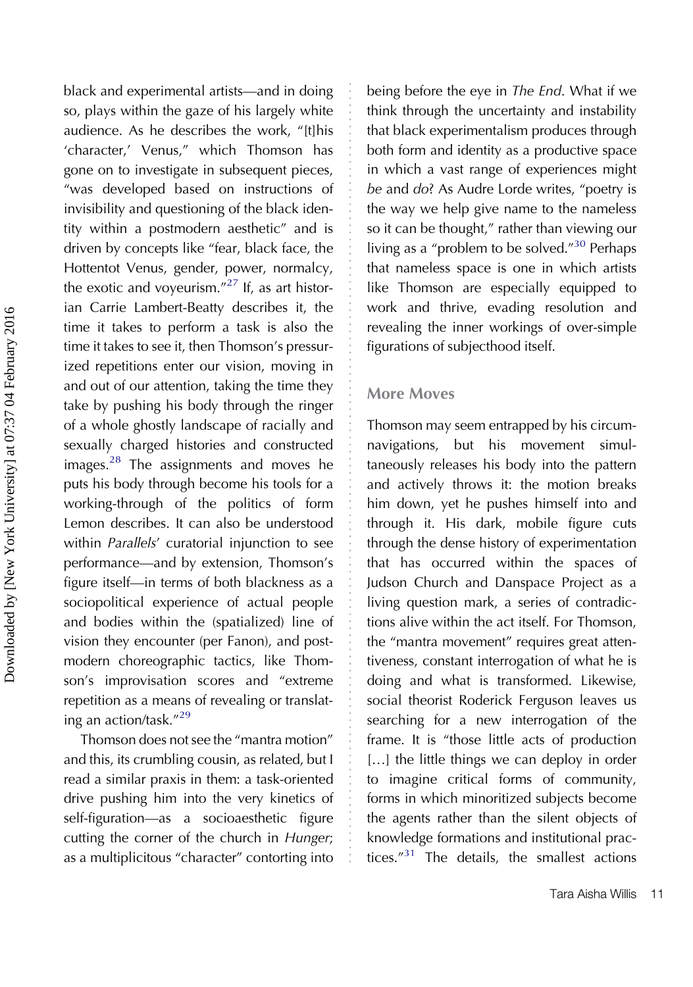black and experimental artists—and in doing so, plays within the gaze of his largely white audience. As he describes the work, "[t]his 'character,' Venus," which Thomson has gone on to investigate in subsequent pieces, "was developed based on instructions of invisibility and questioning of the black identity within a postmodern aesthetic" and is driven by concepts like "fear, black face, the Hottentot Venus, gender, power, normalcy, the exotic and voyeurism." $27$  If, as art historian Carrie Lambert-Beatty describes it, the time it takes to perform a task is also the time it takes to see it, then Thomson's pressurized repetitions enter our vision, moving in and out of our attention, taking the time they take by pushing his body through the ringer of a whole ghostly landscape of racially and sexually charged histories and constructed images.<sup>[28](#page-11-0)</sup> The assignments and moves he puts his body through become his tools for a working-through of the politics of form Lemon describes. It can also be understood within Parallels' curatorial injunction to see performance—and by extension, Thomson's figure itself—in terms of both blackness as a sociopolitical experience of actual people and bodies within the (spatialized) line of vision they encounter (per Fanon), and postmodern choreographic tactics, like Thomson's improvisation scores and "extreme repetition as a means of revealing or translating an action/task."[29](#page-11-0)

Thomson does not see the "mantra motion" and this, its crumbling cousin, as related, but I read a similar praxis in them: a task-oriented drive pushing him into the very kinetics of self-figuration—as a socioaesthetic figure cutting the corner of the church in Hunger; as a multiplicitous "character" contorting into being before the eye in The End. What if we think through the uncertainty and instability that black experimentalism produces through both form and identity as a productive space in which a vast range of experiences might be and do? As Audre Lorde writes, "poetry is the way we help give name to the nameless so it can be thought," rather than viewing our living as a "problem to be solved."<sup>[30](#page-11-0)</sup> Perhaps that nameless space is one in which artists like Thomson are especially equipped to work and thrive, evading resolution and revealing the inner workings of over-simple figurations of subjecthood itself.

#### More Moves

Thomson may seem entrapped by his circumnavigations, but his movement simultaneously releases his body into the pattern and actively throws it: the motion breaks him down, yet he pushes himself into and through it. His dark, mobile figure cuts through the dense history of experimentation that has occurred within the spaces of Judson Church and Danspace Project as a living question mark, a series of contradictions alive within the act itself. For Thomson, the "mantra movement" requires great attentiveness, constant interrogation of what he is doing and what is transformed. Likewise, social theorist Roderick Ferguson leaves us searching for a new interrogation of the frame. It is "those little acts of production [...] the little things we can deploy in order to imagine critical forms of community, forms in which minoritized subjects become the agents rather than the silent objects of knowledge formations and institutional prac-tices."<sup>[31](#page-11-0)</sup> The details, the smallest actions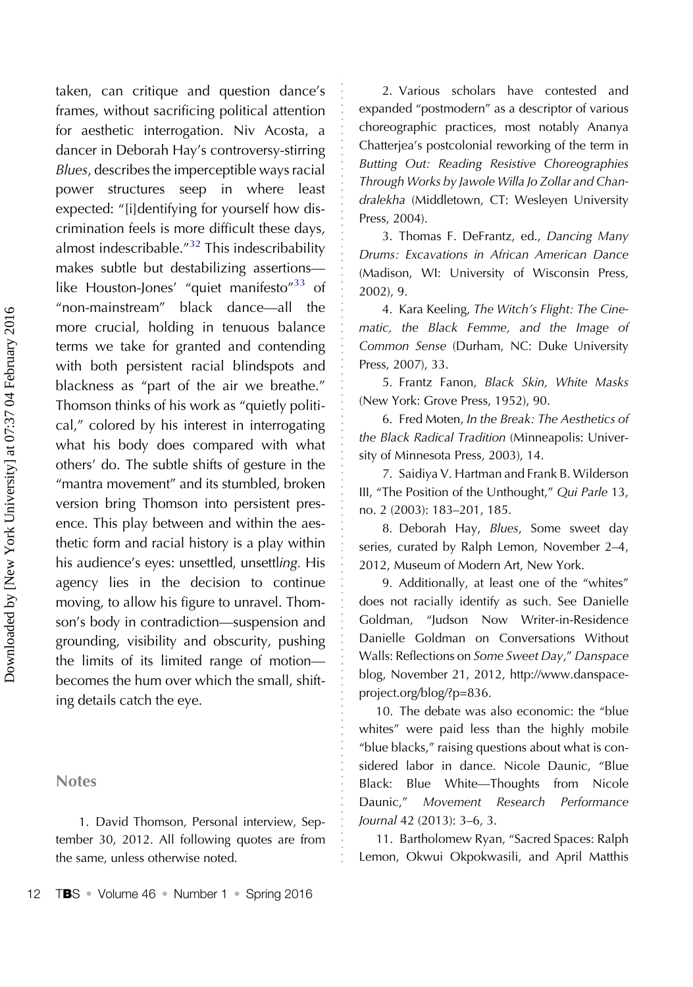<span id="page-9-0"></span>taken, can critique and question dance's frames, without sacrificing political attention for aesthetic interrogation. Niv Acosta, a dancer in Deborah Hay's controversy-stirring Blues, describes the imperceptible ways racial power structures seep in where least expected: "[i]dentifying for yourself how discrimination feels is more difficult these days, almost indescribable."<sup>[32](#page-11-0)</sup> This indescribability makes subtle but destabilizing assertions— like Houston-Jones' "quiet manifesto"<sup>[33](#page-11-0)</sup> of "non-mainstream" black dance—all the more crucial, holding in tenuous balance terms we take for granted and contending with both persistent racial blindspots and blackness as "part of the air we breathe." Thomson thinks of his work as "quietly political," colored by his interest in interrogating what his body does compared with what others' do. The subtle shifts of gesture in the "mantra movement" and its stumbled, broken version bring Thomson into persistent presence. This play between and within the aesthetic form and racial history is a play within his audience's eyes: unsettled, unsettling. His agency lies in the decision to continue moving, to allow his figure to unravel. Thomson's body in contradiction—suspension and grounding, visibility and obscurity, pushing the limits of its limited range of motion becomes the hum over which the small, shifting details catch the eye.

## **Notes**

1. David Thomson, Personal interview, September 30, 2012. All following quotes are from the same, unless otherwise noted.

2. Various scholars have contested and expanded "postmodern" as a descriptor of various choreographic practices, most notably Ananya Chatterjea's postcolonial reworking of the term in Butting Out: Reading Resistive Choreographies Through Works by Jawole Willa Jo Zollar and Chandralekha (Middletown, CT: Wesleyen University Press, 2004).

3. Thomas F. DeFrantz, ed., Dancing Many Drums: Excavations in African American Dance (Madison, WI: University of Wisconsin Press, 2002), 9.

4. Kara Keeling, The Witch's Flight: The Cinematic, the Black Femme, and the Image of Common Sense (Durham, NC: Duke University Press, 2007), 33.

5. Frantz Fanon, Black Skin, White Masks (New York: Grove Press, 1952), 90.

6. Fred Moten, In the Break: The Aesthetics of the Black Radical Tradition (Minneapolis: University of Minnesota Press, 2003), 14.

7. Saidiya V. Hartman and Frank B. Wilderson III, "The Position of the Unthought," Qui Parle 13, no. 2 (2003): 183–201, 185.

8. Deborah Hay, Blues, Some sweet day series, curated by Ralph Lemon, November 2–4, 2012, Museum of Modern Art, New York.

9. Additionally, at least one of the "whites" does not racially identify as such. See Danielle Goldman, "Judson Now Writer-in-Residence Danielle Goldman on Conversations Without Walls: Reflections on Some Sweet Day," Danspace blog, November 21, 2012, http://www.danspaceproject.org/blog/?p=836.

10. The debate was also economic: the "blue whites" were paid less than the highly mobile "blue blacks," raising questions about what is considered labor in dance. Nicole Daunic, "Blue Black: Blue White—Thoughts from Nicole Daunic," Movement Research Performance Journal 42 (2013): 3–6, 3.

11. Bartholomew Ryan, "Sacred Spaces: Ralph Lemon, Okwui Okpokwasili, and April Matthis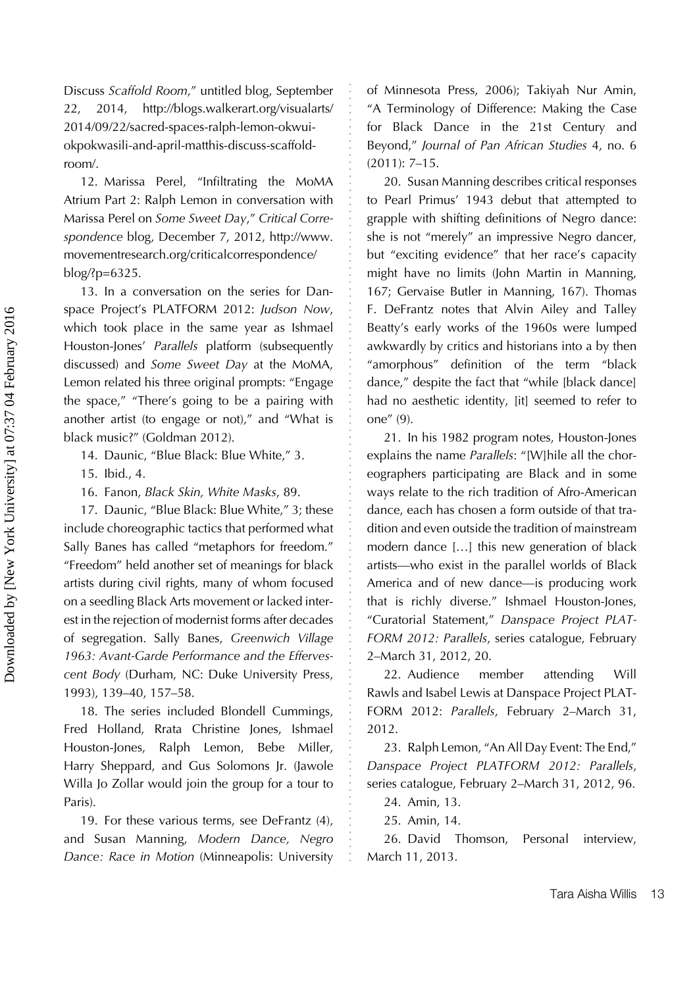<span id="page-10-0"></span>Discuss Scaffold Room," untitled blog, September 22, 2014, http://blogs.walkerart.org/visualarts/ 2014/09/22/sacred-spaces-ralph-lemon-okwuiokpokwasili-and-april-matthis-discuss-scaffoldroom/.

12. Marissa Perel, "Infiltrating the MoMA Atrium Part 2: Ralph Lemon in conversation with Marissa Perel on Some Sweet Day," Critical Correspondence blog, December 7, 2012, http://www. movementresearch.org/criticalcorrespondence/ blog/?p=6325.

13. In a conversation on the series for Danspace Project's PLATFORM 2012: Judson Now, which took place in the same year as Ishmael Houston-Jones' Parallels platform (subsequently discussed) and Some Sweet Day at the MoMA, Lemon related his three original prompts: "Engage the space," "There's going to be a pairing with another artist (to engage or not)," and "What is black music?" (Goldman 2012).

14. Daunic, "Blue Black: Blue White," 3.

15. Ibid., 4.

16. Fanon, Black Skin, White Masks, 89.

17. Daunic, "Blue Black: Blue White," 3; these include choreographic tactics that performed what Sally Banes has called "metaphors for freedom." "Freedom" held another set of meanings for black artists during civil rights, many of whom focused on a seedling Black Arts movement or lacked interest in the rejection of modernist forms after decades of segregation. Sally Banes, Greenwich Village 1963: Avant-Garde Performance and the Effervescent Body (Durham, NC: Duke University Press, 1993), 139–40, 157–58.

18. The series included Blondell Cummings, Fred Holland, Rrata Christine Jones, Ishmael Houston-Jones, Ralph Lemon, Bebe Miller, Harry Sheppard, and Gus Solomons Jr. (Jawole Willa Jo Zollar would join the group for a tour to Paris).

19. For these various terms, see DeFrantz (4), and Susan Manning, Modern Dance, Negro Dance: Race in Motion (Minneapolis: University of Minnesota Press, 2006); Takiyah Nur Amin, "A Terminology of Difference: Making the Case for Black Dance in the 21st Century and Beyond," Journal of Pan African Studies 4, no. 6 (2011): 7–15.

20. Susan Manning describes critical responses to Pearl Primus' 1943 debut that attempted to grapple with shifting definitions of Negro dance: she is not "merely" an impressive Negro dancer, but "exciting evidence" that her race's capacity might have no limits (John Martin in Manning, 167; Gervaise Butler in Manning, 167). Thomas F. DeFrantz notes that Alvin Ailey and Talley Beatty's early works of the 1960s were lumped awkwardly by critics and historians into a by then "amorphous" definition of the term "black dance," despite the fact that "while [black dance] had no aesthetic identity, [it] seemed to refer to one" (9).

21. In his 1982 program notes, Houston-Jones explains the name Parallels: "[W]hile all the choreographers participating are Black and in some ways relate to the rich tradition of Afro-American dance, each has chosen a form outside of that tradition and even outside the tradition of mainstream modern dance […] this new generation of black artists—who exist in the parallel worlds of Black America and of new dance—is producing work that is richly diverse." Ishmael Houston-Jones, "Curatorial Statement," Danspace Project PLAT-FORM 2012: Parallels, series catalogue, February 2–March 31, 2012, 20.

22. Audience member attending Will Rawls and Isabel Lewis at Danspace Project PLAT-FORM 2012: Parallels, February 2–March 31, 2012.

23. Ralph Lemon, "An All Day Event: The End," Danspace Project PLATFORM 2012: Parallels, series catalogue, February 2–March 31, 2012, 96.

24. Amin, 13.

25. Amin, 14.

26. David Thomson, Personal interview, March 11, 2013.